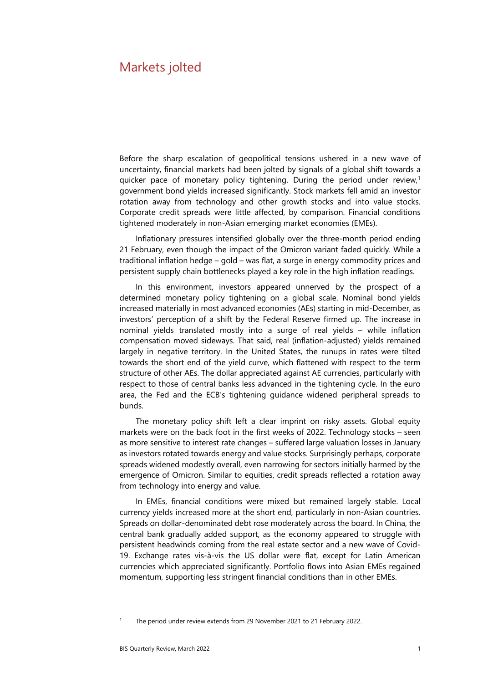# Markets jolted

Before the sharp escalation of geopolitical tensions ushered in a new wave of uncertainty, financial markets had been jolted by signals of a global shift towards a quicker pace of monetary policy tightening. During the period under review,<sup>1</sup> government bond yields increased significantly. Stock markets fell amid an investor rotation away from technology and other growth stocks and into value stocks. Corporate credit spreads were little affected, by comparison. Financial conditions tightened moderately in non-Asian emerging market economies (EMEs).

Inflationary pressures intensified globally over the three-month period ending 21 February, even though the impact of the Omicron variant faded quickly. While a traditional inflation hedge – gold – was flat, a surge in energy commodity prices and persistent supply chain bottlenecks played a key role in the high inflation readings.

In this environment, investors appeared unnerved by the prospect of a determined monetary policy tightening on a global scale. Nominal bond yields increased materially in most advanced economies (AEs) starting in mid-December, as investors' perception of a shift by the Federal Reserve firmed up. The increase in nominal yields translated mostly into a surge of real yields – while inflation compensation moved sideways. That said, real (inflation-adjusted) yields remained largely in negative territory. In the United States, the runups in rates were tilted towards the short end of the yield curve, which flattened with respect to the term structure of other AEs. The dollar appreciated against AE currencies, particularly with respect to those of central banks less advanced in the tightening cycle. In the euro area, the Fed and the ECB's tightening guidance widened peripheral spreads to bunds.

The monetary policy shift left a clear imprint on risky assets. Global equity markets were on the back foot in the first weeks of 2022. Technology stocks – seen as more sensitive to interest rate changes – suffered large valuation losses in January as investors rotated towards energy and value stocks. Surprisingly perhaps, corporate spreads widened modestly overall, even narrowing for sectors initially harmed by the emergence of Omicron. Similar to equities, credit spreads reflected a rotation away from technology into energy and value.

In EMEs, financial conditions were mixed but remained largely stable. Local currency yields increased more at the short end, particularly in non-Asian countries. Spreads on dollar-denominated debt rose moderately across the board. In China, the central bank gradually added support, as the economy appeared to struggle with persistent headwinds coming from the real estate sector and a new wave of Covid-19. Exchange rates vis-à-vis the US dollar were flat, except for Latin American currencies which appreciated significantly. Portfolio flows into Asian EMEs regained momentum, supporting less stringent financial conditions than in other EMEs.

The period under review extends from 29 November 2021 to 21 February 2022.

<span id="page-0-0"></span>1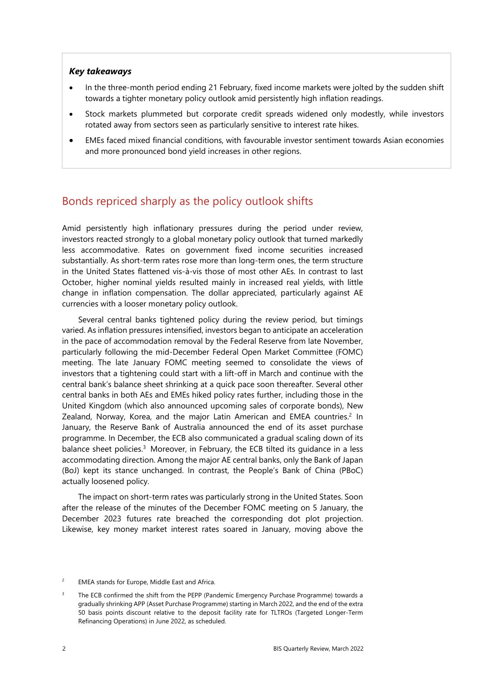## *Key takeaways*

- In the three-month period ending 21 February, fixed income markets were jolted by the sudden shift towards a tighter monetary policy outlook amid persistently high inflation readings.
- Stock markets plummeted but corporate credit spreads widened only modestly, while investors rotated away from sectors seen as particularly sensitive to interest rate hikes.
- EMEs faced mixed financial conditions, with favourable investor sentiment towards Asian economies and more pronounced bond yield increases in other regions.

# Bonds repriced sharply as the policy outlook shifts

Amid persistently high inflationary pressures during the period under review, investors reacted strongly to a global monetary policy outlook that turned markedly less accommodative. Rates on government fixed income securities increased substantially. As short-term rates rose more than long-term ones, the term structure in the United States flattened vis-à-vis those of most other AEs. In contrast to last October, higher nominal yields resulted mainly in increased real yields, with little change in inflation compensation. The dollar appreciated, particularly against AE currencies with a looser monetary policy outlook.

Several central banks tightened policy during the review period, but timings varied. As inflation pressures intensified, investors began to anticipate an acceleration in the pace of accommodation removal by the Federal Reserve from late November, particularly following the mid-December Federal Open Market Committee (FOMC) meeting. The late January FOMC meeting seemed to consolidate the views of investors that a tightening could start with a lift-off in March and continue with the central bank's balance sheet shrinking at a quick pace soon thereafter. Several other central banks in both AEs and EMEs hiked policy rates further, including those in the United Kingdom (which also announced upcoming sales of corporate bonds), New Zealand, Norway, Korea, and the major Latin American and EMEA countries.<sup>2</sup> In January, the Reserve Bank of Australia announced the end of its asset purchase programme. In December, the ECB also communicated a gradual scaling down of its balance sheet policies.<sup>3</sup> Moreover, in February, the ECB tilted its quidance in a less accommodating direction. Among the major AE central banks, only the Bank of Japan (BoJ) kept its stance unchanged. In contrast, the People's Bank of China (PBoC) actually loosened policy.

The impact on short-term rates was particularly strong in the United States. Soon after the release of the minutes of the December FOMC meeting on 5 January, the December 2023 futures rate breached the corresponding dot plot projection. Likewise, key money market interest rates soared in January, moving above the

<span id="page-1-1"></span><sup>2</sup> EMEA stands for Europe, Middle East and Africa.

<span id="page-1-0"></span><sup>3</sup> The ECB confirmed the shift from the PEPP (Pandemic Emergency Purchase Programme) towards a gradually shrinking APP (Asset Purchase Programme) starting in March 2022, and the end of the extra 50 basis points discount relative to the deposit facility rate for TLTROs (Targeted Longer-Term Refinancing Operations) in June 2022, as scheduled.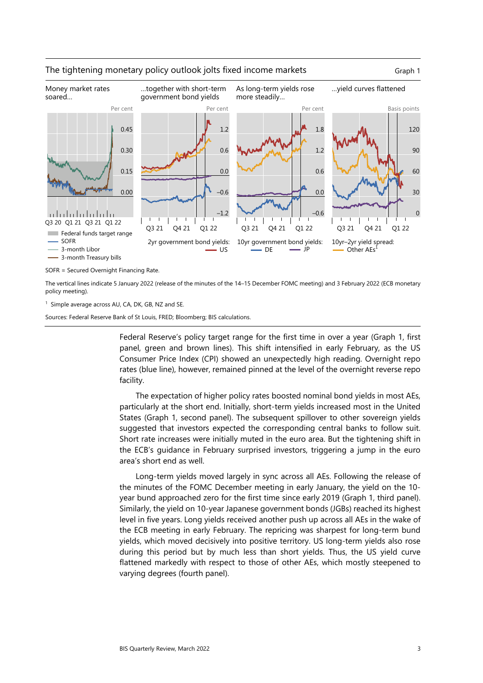

## The tightening monetary policy outlook jolts fixed income markets Graph 1



SOFR = Secured Overnight Financing Rate.

The vertical lines indicate 5 January 2022 (release of the minutes of the 14–15 December FOMC meeting) and 3 February 2022 (ECB monetary policy meeting).

<sup>1</sup> Simple average across AU, CA, DK, GB, NZ and SE.

Sources: Federal Reserve Bank of St Louis, FRED; Bloomberg; BIS calculations.

Federal Reserve's policy target range for the first time in over a year (Graph 1, first panel, green and brown lines). This shift intensified in early February, as the US Consumer Price Index (CPI) showed an unexpectedly high reading. Overnight repo rates (blue line), however, remained pinned at the level of the overnight reverse repo facility.

The expectation of higher policy rates boosted nominal bond yields in most AEs, particularly at the short end. Initially, short-term yields increased most in the United States (Graph 1, second panel). The subsequent spillover to other sovereign yields suggested that investors expected the corresponding central banks to follow suit. Short rate increases were initially muted in the euro area. But the tightening shift in the ECB's guidance in February surprised investors, triggering a jump in the euro area's short end as well.

Long-term yields moved largely in sync across all AEs. Following the release of the minutes of the FOMC December meeting in early January, the yield on the 10 year bund approached zero for the first time since early 2019 (Graph 1, third panel). Similarly, the yield on 10-year Japanese government bonds (JGBs) reached its highest level in five years. Long yields received another push up across all AEs in the wake of the ECB meeting in early February. The repricing was sharpest for long-term bund yields, which moved decisively into positive territory. US long-term yields also rose during this period but by much less than short yields. Thus, the US yield curve flattened markedly with respect to those of other AEs, which mostly steepened to varying degrees (fourth panel).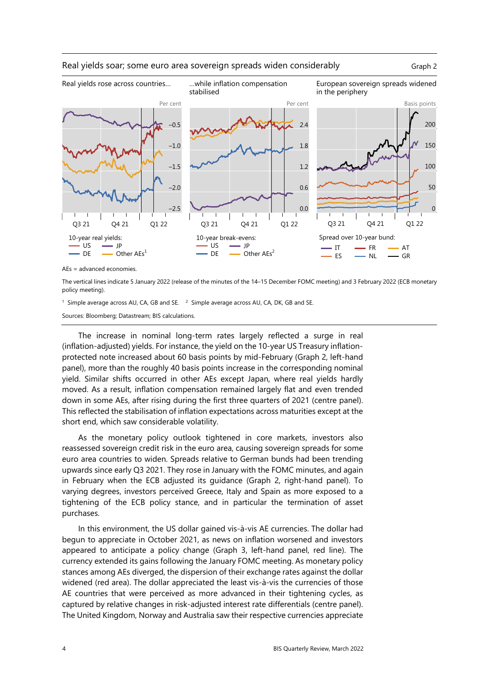



AEs = advanced economies.

The vertical lines indicate 5 January 2022 (release of the minutes of the 14–15 December FOMC meeting) and 3 February 2022 (ECB monetary policy meeting).

<sup>1</sup> Simple average across AU, CA, GB and SE.  $2^2$  Simple average across AU, CA, DK, GB and SE.

Sources: Bloomberg; Datastream; BIS calculations.

The increase in nominal long-term rates largely reflected a surge in real (inflation-adjusted) yields. For instance, the yield on the 10-year US Treasury inflationprotected note increased about 60 basis points by mid-February (Graph 2, left-hand panel), more than the roughly 40 basis points increase in the corresponding nominal yield. Similar shifts occurred in other AEs except Japan, where real yields hardly moved. As a result, inflation compensation remained largely flat and even trended down in some AEs, after rising during the first three quarters of 2021 (centre panel). This reflected the stabilisation of inflation expectations across maturities except at the short end, which saw considerable volatility.

As the monetary policy outlook tightened in core markets, investors also reassessed sovereign credit risk in the euro area, causing sovereign spreads for some euro area countries to widen. Spreads relative to German bunds had been trending upwards since early Q3 2021. They rose in January with the FOMC minutes, and again in February when the ECB adjusted its guidance (Graph 2, right-hand panel). To varying degrees, investors perceived Greece, Italy and Spain as more exposed to a tightening of the ECB policy stance, and in particular the termination of asset purchases.

In this environment, the US dollar gained vis-à-vis AE currencies. The dollar had begun to appreciate in October 2021, as news on inflation worsened and investors appeared to anticipate a policy change (Graph 3, left-hand panel, red line). The currency extended its gains following the January FOMC meeting. As monetary policy stances among AEs diverged, the dispersion of their exchange rates against the dollar widened (red area). The dollar appreciated the least vis-à-vis the currencies of those AE countries that were perceived as more advanced in their tightening cycles, as captured by relative changes in risk-adjusted interest rate differentials (centre panel). The United Kingdom, Norway and Australia saw their respective currencies appreciate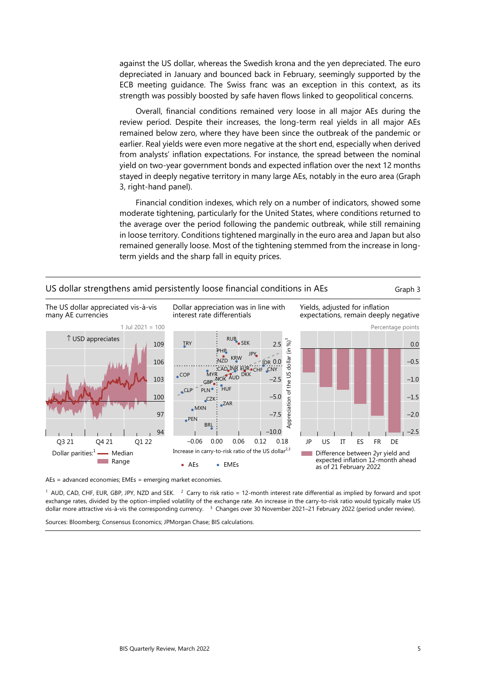against the US dollar, whereas the Swedish krona and the yen depreciated. The euro depreciated in January and bounced back in February, seemingly supported by the ECB meeting guidance. The Swiss franc was an exception in this context, as its strength was possibly boosted by safe haven flows linked to geopolitical concerns.

Overall, financial conditions remained very loose in all major AEs during the review period. Despite their increases, the long-term real yields in all major AEs remained below zero, where they have been since the outbreak of the pandemic or earlier. Real yields were even more negative at the short end, especially when derived from analysts' inflation expectations. For instance, the spread between the nominal yield on two-year government bonds and expected inflation over the next 12 months stayed in deeply negative territory in many large AEs, notably in the euro area (Graph 3, right-hand panel).

Financial condition indexes, which rely on a number of indicators, showed some moderate tightening, particularly for the United States, where conditions returned to the average over the period following the pandemic outbreak, while still remaining in loose territory. Conditions tightened marginally in the euro area and Japan but also remained generally loose. Most of the tightening stemmed from the increase in longterm yields and the sharp fall in equity prices.



AEs = advanced economies; EMEs = emerging market economies.

<sup>1</sup> AUD, CAD, CHF, EUR, GBP, JPY, NZD and SEK.  $^2$  Carry to risk ratio = 12-month interest rate differential as implied by forward and spot exchange rates, divided by the option-implied volatility of the exchange rate. An increase in the carry-to-risk ratio would typically make US dollar more attractive vis-à-vis the corresponding currency. <sup>3</sup> Changes over 30 November 2021–21 February 2022 (period under review).

Sources: Bloomberg; Consensus Economics; JPMorgan Chase; BIS calculations.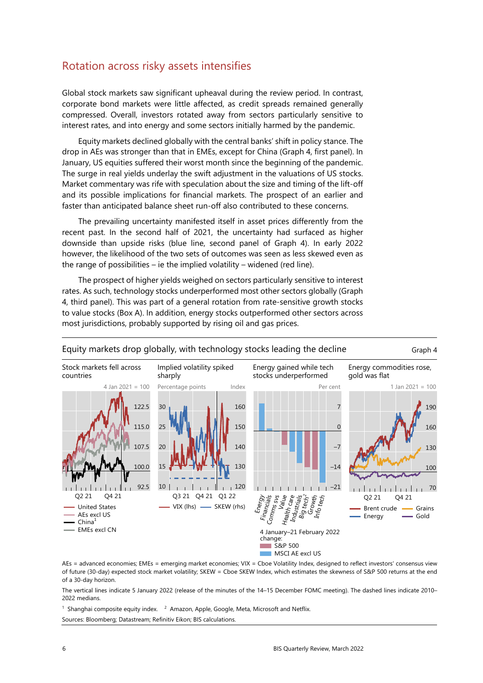# Rotation across risky assets intensifies

Global stock markets saw significant upheaval during the review period. In contrast, corporate bond markets were little affected, as credit spreads remained generally compressed. Overall, investors rotated away from sectors particularly sensitive to interest rates, and into energy and some sectors initially harmed by the pandemic.

Equity markets declined globally with the central banks' shift in policy stance. The drop in AEs was stronger than that in EMEs, except for China (Graph 4, first panel). In January, US equities suffered their worst month since the beginning of the pandemic. The surge in real yields underlay the swift adjustment in the valuations of US stocks. Market commentary was rife with speculation about the size and timing of the lift-off and its possible implications for financial markets. The prospect of an earlier and faster than anticipated balance sheet run-off also contributed to these concerns.

The prevailing uncertainty manifested itself in asset prices differently from the recent past. In the second half of 2021, the uncertainty had surfaced as higher downside than upside risks (blue line, second panel of Graph 4). In early 2022 however, the likelihood of the two sets of outcomes was seen as less skewed even as the range of possibilities – ie the implied volatility – widened (red line).

The prospect of higher yields weighed on sectors particularly sensitive to interest rates. As such, technology stocks underperformed most other sectors globally (Graph 4, third panel). This was part of a general rotation from rate-sensitive growth stocks to value stocks (Box A). In addition, energy stocks outperformed other sectors across most jurisdictions, probably supported by rising oil and gas prices.



# Equity markets drop globally, with technology stocks leading the decline Graph 4

AEs = advanced economies; EMEs = emerging market economies; VIX = Cboe Volatility Index, designed to reflect investors' consensus view of future (30-day) expected stock market volatility; SKEW = Cboe SKEW Index, which estimates the skewness of S&P 500 returns at the end of a 30-day horizon.

The vertical lines indicate 5 January 2022 (release of the minutes of the 14–15 December FOMC meeting). The dashed lines indicate 2010– 2022 medians.

<sup>1</sup> Shanghai composite equity index.  $2$  Amazon, Apple, Google, Meta, Microsoft and Netflix. Sources: Bloomberg; Datastream; Refinitiv Eikon; BIS calculations.

**MSCI AE excl US**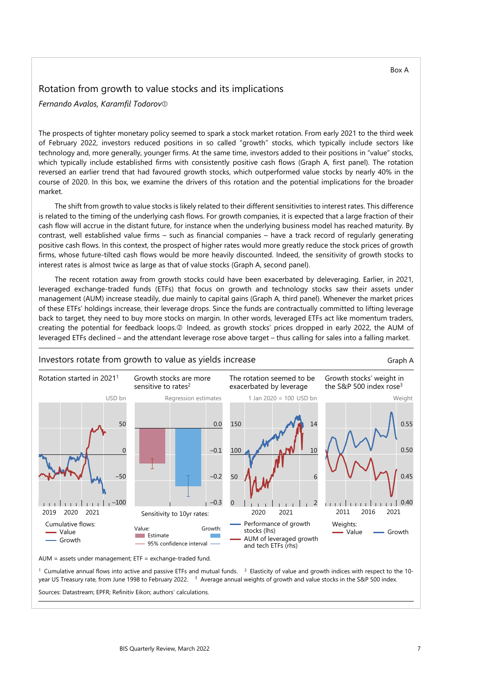#### Box A

# Rotation from growth to value stocks and its implications

*Fernando Avalos, Karamfil Todorov*

The prospects of tighter monetary policy seemed to spark a stock market rotation. From early 2021 to the third week of February 2022, investors reduced positions in so called "growth" stocks, which typically include sectors like technology and, more generally, younger firms. At the same time, investors added to their positions in "value" stocks, which typically include established firms with consistently positive cash flows (Graph A, first panel). The rotation reversed an earlier trend that had favoured growth stocks, which outperformed value stocks by nearly 40% in the course of 2020. In this box, we examine the drivers of this rotation and the potential implications for the broader market.

The shift from growth to value stocks is likely related to their different sensitivities to interest rates. This difference is related to the timing of the underlying cash flows. For growth companies, it is expected that a large fraction of their cash flow will accrue in the distant future, for instance when the underlying business model has reached maturity. By contrast, well established value firms – such as financial companies – have a track record of regularly generating positive cash flows. In this context, the prospect of higher rates would more greatly reduce the stock prices of growth firms, whose future-tilted cash flows would be more heavily discounted. Indeed, the sensitivity of growth stocks to interest rates is almost twice as large as that of value stocks (Graph A, second panel).

The recent rotation away from growth stocks could have been exacerbated by deleveraging. Earlier, in 2021, leveraged exchange-traded funds (ETFs) that focus on growth and technology stocks saw their assets under management (AUM) increase steadily, due mainly to capital gains (Graph A, third panel). Whenever the market prices of these ETFs' holdings increase, their leverage drops. Since the funds are contractually committed to lifting leverage back to target, they need to buy more stocks on margin. In other words, leveraged ETFs act like momentum traders, creating the potential for feedback loops.<sup>2</sup> Indeed, as growth stocks' prices dropped in early 2022, the AUM of leveraged ETFs declined – and the attendant leverage rose above target – thus calling for sales into a falling market.



AUM = assets under management; ETF = exchange-traded fund.

<sup>1</sup> Cumulative annual flows into active and passive ETFs and mutual funds. <sup>2</sup> Elasticity of value and growth indices with respect to the 10year US Treasury rate, from June 1998 to February 2022. <sup>3</sup> Average annual weights of growth and value stocks in the S&P 500 index.

Sources: Datastream; EPFR; Refinitiv Eikon; authors' calculations.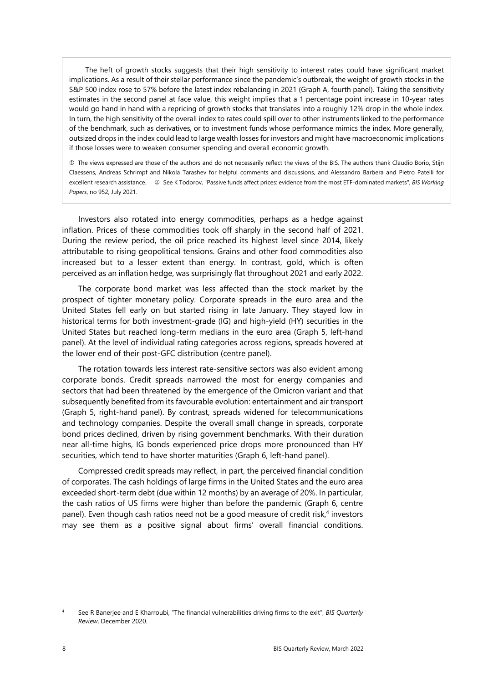The heft of growth stocks suggests that their high sensitivity to interest rates could have significant market implications. As a result of their stellar performance since the pandemic's outbreak, the weight of growth stocks in the S&P 500 index rose to 57% before the latest index rebalancing in 2021 (Graph A, fourth panel). Taking the sensitivity estimates in the second panel at face value, this weight implies that a 1 percentage point increase in 10-year rates would go hand in hand with a repricing of growth stocks that translates into a roughly 12% drop in the whole index. In turn, the high sensitivity of the overall index to rates could spill over to other instruments linked to the performance of the benchmark, such as derivatives, or to investment funds whose performance mimics the index. More generally, outsized drops in the index could lead to large wealth losses for investors and might have macroeconomic implications if those losses were to weaken consumer spending and overall economic growth.

 The views expressed are those of the authors and do not necessarily reflect the views of the BIS. The authors thank Claudio Borio, Stijn Claessens, Andreas Schrimpf and Nikola Tarashev for helpful comments and discussions, and Alessandro Barbera and Pietro Patelli for excellent research assistance. © See K Todorov, "Passive funds affect prices: evidence from the most ETF-dominated markets", *BIS Working Papers*, no 952, July 2021.

Investors also rotated into energy commodities, perhaps as a hedge against inflation. Prices of these commodities took off sharply in the second half of 2021. During the review period, the oil price reached its highest level since 2014, likely attributable to rising geopolitical tensions. Grains and other food commodities also increased but to a lesser extent than energy. In contrast, gold, which is often perceived as an inflation hedge, was surprisingly flat throughout 2021 and early 2022.

The corporate bond market was less affected than the stock market by the prospect of tighter monetary policy. Corporate spreads in the euro area and the United States fell early on but started rising in late January. They stayed low in historical terms for both investment-grade (IG) and high-yield (HY) securities in the United States but reached long-term medians in the euro area (Graph 5, left-hand panel). At the level of individual rating categories across regions, spreads hovered at the lower end of their post-GFC distribution (centre panel).

The rotation towards less interest rate-sensitive sectors was also evident among corporate bonds. Credit spreads narrowed the most for energy companies and sectors that had been threatened by the emergence of the Omicron variant and that subsequently benefited from its favourable evolution: entertainment and air transport (Graph 5, right-hand panel). By contrast, spreads widened for telecommunications and technology companies. Despite the overall small change in spreads, corporate bond prices declined, driven by rising government benchmarks. With their duration near all-time highs, IG bonds experienced price drops more pronounced than HY securities, which tend to have shorter maturities (Graph 6, left-hand panel).

Compressed credit spreads may reflect, in part, the perceived financial condition of corporates. The cash holdings of large firms in the United States and the euro area exceeded short-term debt (due within 12 months) by an average of 20%. In particular, the cash ratios of US firms were higher than before the pandemic (Graph 6, centre panel). Even though cash ratios need not be a good measure of credit risk, $4$  investors may see them as a positive signal about firms' overall financial conditions.

<span id="page-7-0"></span><sup>4</sup> See R Banerjee and E Kharroubi, "The financial vulnerabilities driving firms to the exit", *BIS Quarterly Review*, December 2020.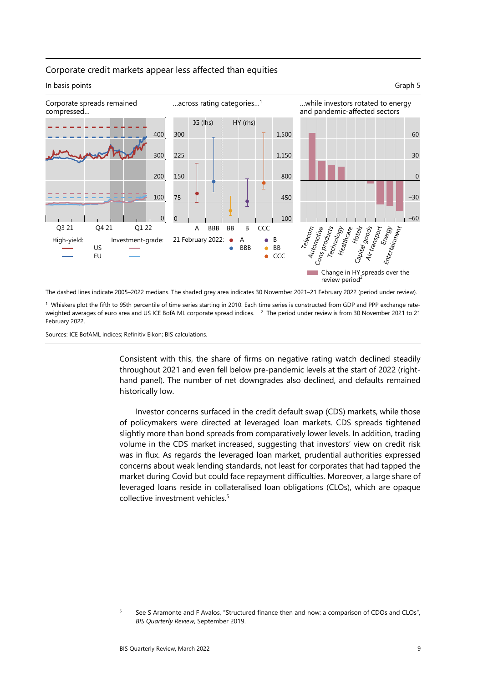

## Corporate credit markets appear less affected than equities

The dashed lines indicate 2005–2022 medians. The shaded grey area indicates 30 November 2021–21 February 2022 (period under review).

<sup>1</sup> Whiskers plot the fifth to 95th percentile of time series starting in 2010. Each time series is constructed from GDP and PPP exchange rateweighted averages of euro area and US ICE BofA ML corporate spread indices. <sup>2</sup> The period under review is from 30 November 2021 to 21 February 2022.

Sources: ICE BofAML indices; Refinitiv Eikon; BIS calculations.

Consistent with this, the share of firms on negative rating watch declined steadily throughout 2021 and even fell below pre-pandemic levels at the start of 2022 (righthand panel). The number of net downgrades also declined, and defaults remained historically low.

Investor concerns surfaced in the credit default swap (CDS) markets, while those of policymakers were directed at leveraged loan markets. CDS spreads tightened slightly more than bond spreads from comparatively lower levels. In addition, trading volume in the CDS market increased, suggesting that investors' view on credit risk was in flux. As regards the leveraged loan market, prudential authorities expressed concerns about weak lending standards, not least for corporates that had tapped the market during Covid but could face repayment difficulties. Moreover, a large share of leveraged loans reside in collateralised loan obligations (CLOs), which are opaque collective investment vehicles.[5](#page-8-0)

<span id="page-8-0"></span><sup>5</sup> See S Aramonte and F Avalos, "Structured finance then and now: a comparison of CDOs and CLOs", *BIS Quarterly Review*, September 2019.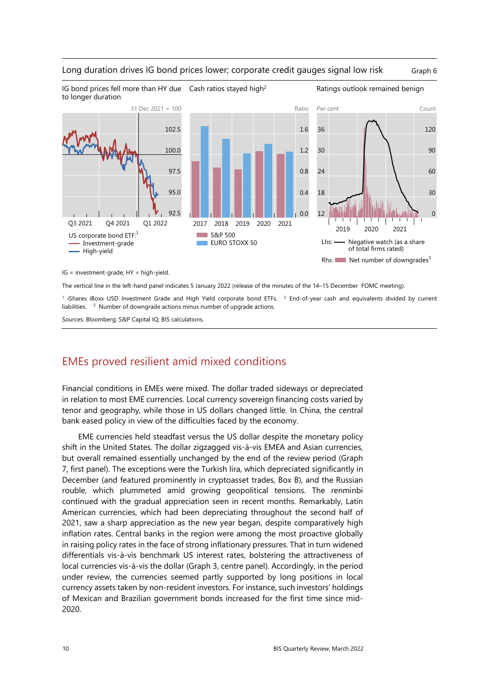

Cash ratios stayed high<sup>2</sup> Ratings outlook remained benign

## Long duration drives IG bond prices lower; corporate credit gauges signal low risk Graph 6

IG = investment-grade; HY = high-yield.

IG bond prices fell more than HY due

The vertical line in the left-hand panel indicates 5 January 2022 (release of the minutes of the 14–15 December FOMC meeting).

<sup>1</sup> iShares iBoxx USD Investment Grade and High Yield corporate bond ETFs. <sup>2</sup> End-of-year cash and equivalents divided by current liabilities. 3 Number of downgrade actions minus number of upgrade actions.

Sources: Bloomberg; S&P Capital IQ; BIS calculations.

# EMEs proved resilient amid mixed conditions

Financial conditions in EMEs were mixed. The dollar traded sideways or depreciated in relation to most EME currencies. Local currency sovereign financing costs varied by tenor and geography, while those in US dollars changed little. In China, the central bank eased policy in view of the difficulties faced by the economy.

EME currencies held steadfast versus the US dollar despite the monetary policy shift in the United States. The dollar zigzagged vis-à-vis EMEA and Asian currencies, but overall remained essentially unchanged by the end of the review period (Graph 7, first panel). The exceptions were the Turkish lira, which depreciated significantly in December (and featured prominently in cryptoasset trades, Box B), and the Russian rouble, which plummeted amid growing geopolitical tensions. The renminbi continued with the gradual appreciation seen in recent months. Remarkably, Latin American currencies, which had been depreciating throughout the second half of 2021, saw a sharp appreciation as the new year began, despite comparatively high inflation rates. Central banks in the region were among the most proactive globally in raising policy rates in the face of strong inflationary pressures. That in turn widened differentials vis-à-vis benchmark US interest rates, bolstering the attractiveness of local currencies vis-à-vis the dollar (Graph 3, centre panel). Accordingly, in the period under review, the currencies seemed partly supported by long positions in local currency assets taken by non-resident investors. For instance, such investors' holdings of Mexican and Brazilian government bonds increased for the first time since mid-2020.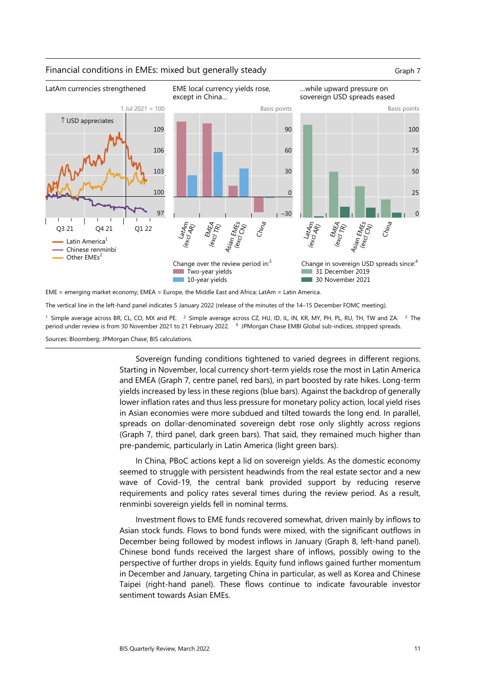

## Financial conditions in EMEs: mixed but generally steady Graph 7 Graph 7



The vertical line in the left-hand panel indicates 5 January 2022 (release of the minutes of the 14–15 December FOMC meeting).

<sup>1</sup> Simple average across BR, CL, CO, MX and PE. <sup>2</sup> Simple average across CZ, HU, ID, IL, IN, KR, MY, PH, PL, RU, TH, TW and ZA. <sup>3</sup> The period under review is from 30 November 2021 to 21 February 2022. 4 JPMorgan Chase EMBI Global sub-indices, stripped spreads.

Sources: Bloomberg; JPMorgan Chase; BIS calculations.

Sovereign funding conditions tightened to varied degrees in different regions. Starting in November, local currency short-term yields rose the most in Latin America and EMEA (Graph 7, centre panel, red bars), in part boosted by rate hikes. Long-term yields increased by less in these regions (blue bars). Against the backdrop of generally lower inflation rates and thus less pressure for monetary policy action, local yield rises in Asian economies were more subdued and tilted towards the long end. In parallel, spreads on dollar-denominated sovereign debt rose only slightly across regions (Graph 7, third panel, dark green bars). That said, they remained much higher than pre-pandemic, particularly in Latin America (light green bars).

In China, PBoC actions kept a lid on sovereign yields. As the domestic economy seemed to struggle with persistent headwinds from the real estate sector and a new wave of Covid-19, the central bank provided support by reducing reserve requirements and policy rates several times during the review period. As a result, renminbi sovereign yields fell in nominal terms.

Investment flows to EME funds recovered somewhat, driven mainly by inflows to Asian stock funds. Flows to bond funds were mixed, with the significant outflows in December being followed by modest inflows in January (Graph 8, left-hand panel). Chinese bond funds received the largest share of inflows, possibly owing to the perspective of further drops in yields. Equity fund inflows gained further momentum in December and January, targeting China in particular, as well as Korea and Chinese Taipei (right-hand panel). These flows continue to indicate favourable investor sentiment towards Asian EMEs.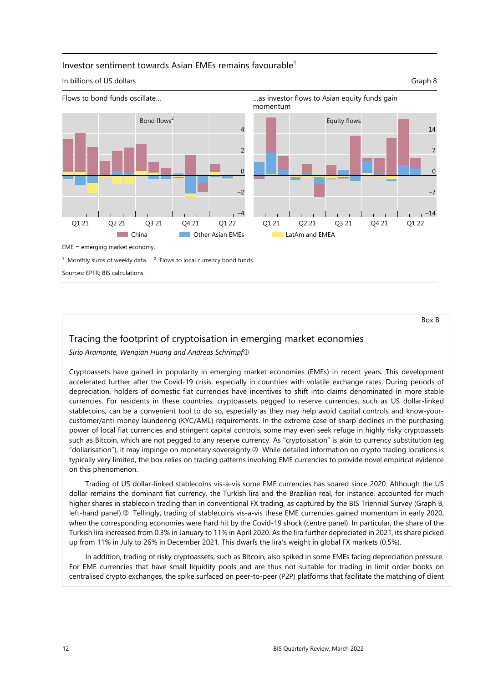## Investor sentiment towards Asian EMEs remains favourable<sup>1</sup>

### In billions of US dollars Graph 8



Box B

# Tracing the footprint of cryptoisation in emerging market economies

*Sirio Aramonte, Wenqian Huang and Andreas Schrimpf*

Cryptoassets have gained in popularity in emerging market economies (EMEs) in recent years. This development accelerated further after the Covid-19 crisis, especially in countries with volatile exchange rates. During periods of depreciation, holders of domestic fiat currencies have incentives to shift into claims denominated in more stable currencies. For residents in these countries, cryptoassets pegged to reserve currencies, such as US dollar-linked stablecoins, can be a convenient tool to do so, especially as they may help avoid capital controls and know-yourcustomer/anti-money laundering (KYC/AML) requirements. In the extreme case of sharp declines in the purchasing power of local fiat currencies and stringent capital controls, some may even seek refuge in highly risky cryptoassets such as Bitcoin, which are not pegged to any reserve currency. As "cryptoisation" is akin to currency substitution (eg "dollarisation"), it may impinge on monetary sovereignty. While detailed information on crypto trading locations is typically very limited, the box relies on trading patterns involving EME currencies to provide novel empirical evidence on this phenomenon.

Trading of US dollar-linked stablecoins vis-à-vis some EME currencies has soared since 2020. Although the US dollar remains the dominant fiat currency, the Turkish lira and the Brazilian real, for instance, accounted for much higher shares in stablecoin trading than in conventional FX trading, as captured by the BIS Triennial Survey (Graph B, left-hand panel). Tellingly, trading of stablecoins vis-a-vis these EME currencies gained momentum in early 2020, when the corresponding economies were hard hit by the Covid-19 shock (centre panel). In particular, the share of the Turkish lira increased from 0.3% in January to 11% in April 2020. As the lira further depreciated in 2021, its share picked up from 11% in July to 26% in December 2021. This dwarfs the lira's weight in global FX markets (0.5%).

In addition, trading of risky cryptoassets, such as Bitcoin, also spiked in some EMEs facing depreciation pressure. For EME currencies that have small liquidity pools and are thus not suitable for trading in limit order books on centralised crypto exchanges, the spike surfaced on peer-to-peer (P2P) platforms that facilitate the matching of client